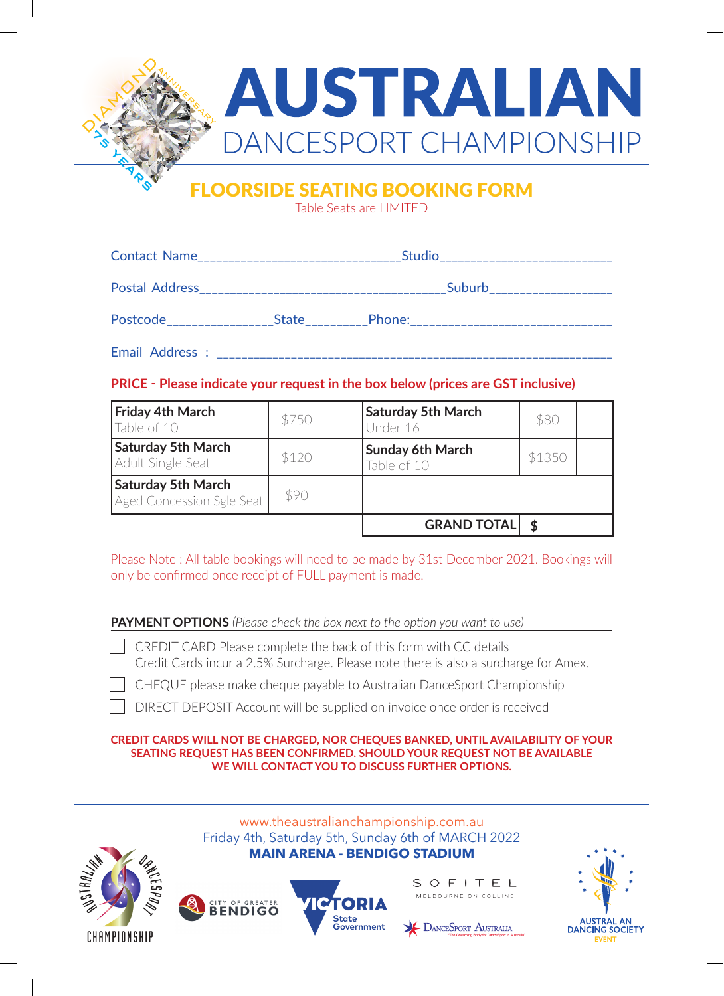

## FLOORSIDE SEATING BOOKING FORM

Table Seats are LIMITED

|                 | Studio______________________________ |                                 |  |  |  |
|-----------------|--------------------------------------|---------------------------------|--|--|--|
| Postal Address  |                                      | Suburb<br>_____________________ |  |  |  |
|                 |                                      |                                 |  |  |  |
| Email Address : |                                      |                                 |  |  |  |

## **PRICE - Please indicate your request in the box below (prices are GST inclusive)**

| <b>Friday 4th March</b><br>Table of 10                 | \$750 | <b>Saturday 5th March</b><br>Under 16  | \$80   |  |
|--------------------------------------------------------|-------|----------------------------------------|--------|--|
| <b>Saturday 5th March</b><br>Adult Single Seat         | \$120 | <b>Sunday 6th March</b><br>Table of 10 | \$1350 |  |
| <b>Saturday 5th March</b><br>Aged Concession Sgle Seat | \$90  |                                        |        |  |
|                                                        |       | <b>GRAND TOTAL</b>                     |        |  |

Please Note : All table bookings will need to be made by 31st December 2021. Bookings will only be confirmed once receipt of FULL payment is made.

**PAYMENT OPTIONS** *(Please check the box next to the option you want to use)*

- CREDIT CARD Please complete the back of this form with CC details Credit Cards incur a 2.5% Surcharge. Please note there is also a surcharge for Amex.
- CHEQUE please make cheque payable to Australian DanceSport Championship

DIRECT DEPOSIT Account will be supplied on invoice once order is received

**CREDIT CARDS WILL NOT BE CHARGED, NOR CHEQUES BANKED, UNTIL AVAILABILITY OF YOUR SEATING REQUEST HAS BEEN CONFIRMED. SHOULD YOUR REQUEST NOT BE AVAILABLE WE WILL CONTACT YOU TO DISCUSS FURTHER OPTIONS.**